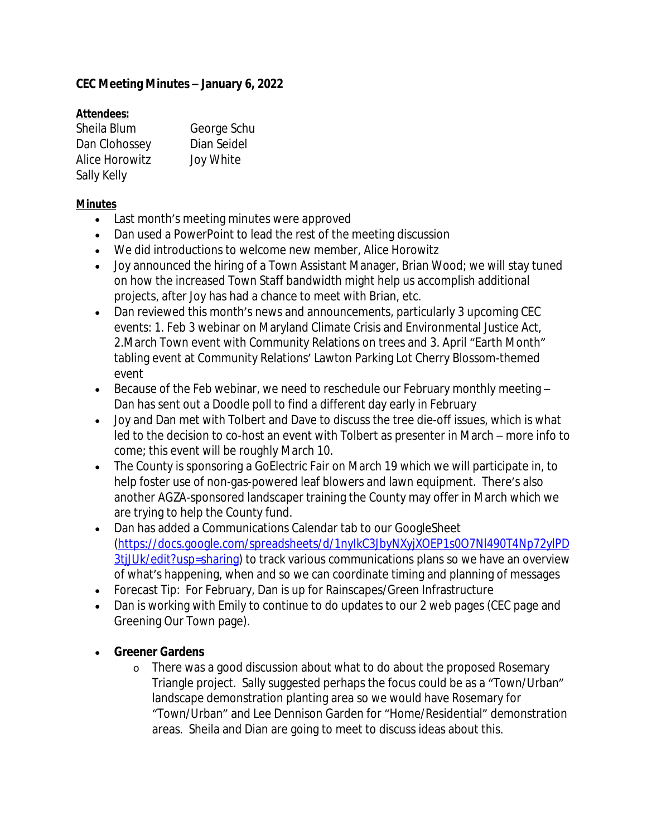## **CEC Meeting Minutes – January 6, 2022**

### **Attendees:**

| Sheila Blum           | George Schu |
|-----------------------|-------------|
| Dan Clohossey         | Dian Seidel |
| <b>Alice Horowitz</b> | Joy White   |
| Sally Kelly           |             |

#### **Minutes**

- Last month's meeting minutes were approved
- Dan used a PowerPoint to lead the rest of the meeting discussion
- We did introductions to welcome new member, Alice Horowitz
- Joy announced the hiring of a Town Assistant Manager, Brian Wood; we will stay tuned on how the increased Town Staff bandwidth might help us accomplish additional projects, after Joy has had a chance to meet with Brian, etc.
- Dan reviewed this month's news and announcements, particularly 3 upcoming CEC events: 1. Feb 3 webinar on Maryland Climate Crisis and Environmental Justice Act, 2.March Town event with Community Relations on trees and 3. April "Earth Month" tabling event at Community Relations' Lawton Parking Lot Cherry Blossom-themed event
- Because of the Feb webinar, we need to reschedule our February monthly meeting  $-$ Dan has sent out a Doodle poll to find a different day early in February
- Joy and Dan met with Tolbert and Dave to discuss the tree die-off issues, which is what led to the decision to co-host an event with Tolbert as presenter in March – more info to come; this event will be roughly March 10.
- The County is sponsoring a GoElectric Fair on March 19 which we will participate in, to help foster use of non-gas-powered leaf blowers and lawn equipment. There's also another AGZA-sponsored landscaper training the County may offer in March which we are trying to help the County fund.
- Dan has added a Communications Calendar tab to our GoogleSheet ([https://docs.google.com/spreadsheets/d/1nyIkC3JbyNXyjXOEP1s0O7Nl490T4Np72ylPD](https://docs.google.com/spreadsheets/d/1nyIkC3JbyNXyjXOEP1s0O7Nl490T4Np72ylPD3tjJUk/edit?usp=sharing) 3tjJUk/edit?usp=sharing) to track various communications plans so we have an overview of what's happening, when and so we can coordinate timing and planning of messages
- Forecast Tip: For February, Dan is up for Rainscapes/Green Infrastructure
- Dan is working with Emily to continue to do updates to our 2 web pages (CEC page and Greening Our Town page).

#### **Greener Gardens**

o There was a good discussion about what to do about the proposed Rosemary Triangle project. Sally suggested perhaps the focus could be as a "Town/Urban" landscape demonstration planting area so we would have Rosemary for "Town/Urban" and Lee Dennison Garden for "Home/Residential" demonstration areas. Sheila and Dian are going to meet to discuss ideas about this.